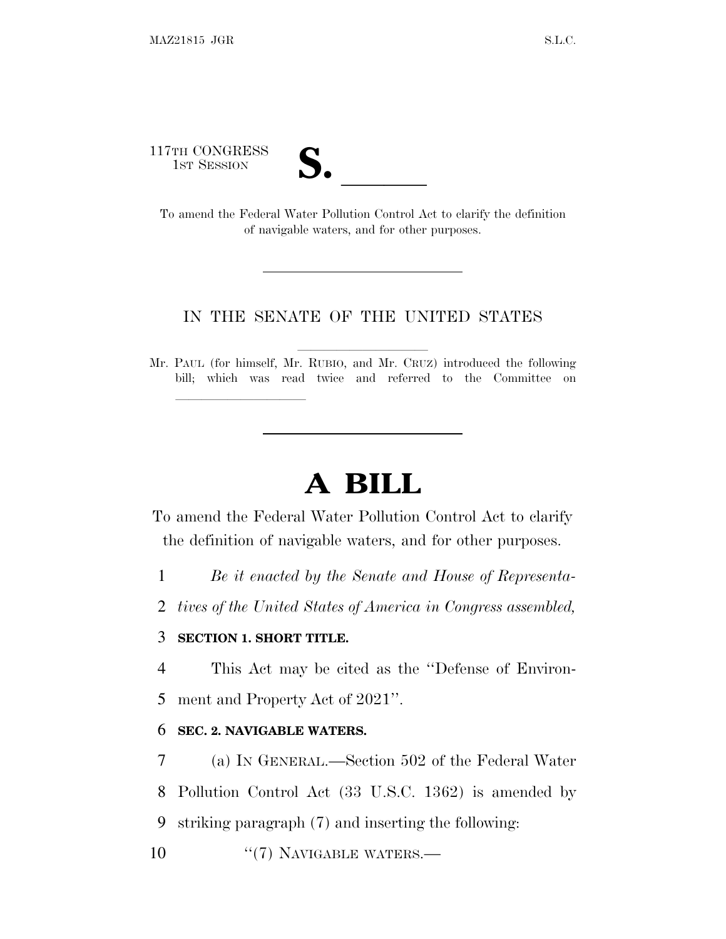117TH CONGRESS

| $\overline{\mathsf{v}}$ |  |
|-------------------------|--|
|                         |  |

17TH CONGRESS<br>
1ST SESSION<br>
To amend the Federal Water Pollution Control Act to clarify the definition of navigable waters, and for other purposes.

## IN THE SENATE OF THE UNITED STATES

Mr. PAUL (for himself, Mr. RUBIO, and Mr. CRUZ) introduced the following bill; which was read twice and referred to the Committee on

## **A BILL**

To amend the Federal Water Pollution Control Act to clarify the definition of navigable waters, and for other purposes.

1 *Be it enacted by the Senate and House of Representa-*

2 *tives of the United States of America in Congress assembled,*

## 3 **SECTION 1. SHORT TITLE.**

lla se al consegue de la consegue de la consegue de la consegue de la consegue de la consegue de la consegue d<br>La consegue de la consegue de la consegue de la consegue de la consegue de la consegue de la consegue de la co

4 This Act may be cited as the ''Defense of Environ-5 ment and Property Act of 2021''.

## 6 **SEC. 2. NAVIGABLE WATERS.**

7 (a) I<sup>N</sup> GENERAL.—Section 502 of the Federal Water 8 Pollution Control Act (33 U.S.C. 1362) is amended by 9 striking paragraph (7) and inserting the following:

10 "(7) NAVIGABLE WATERS.—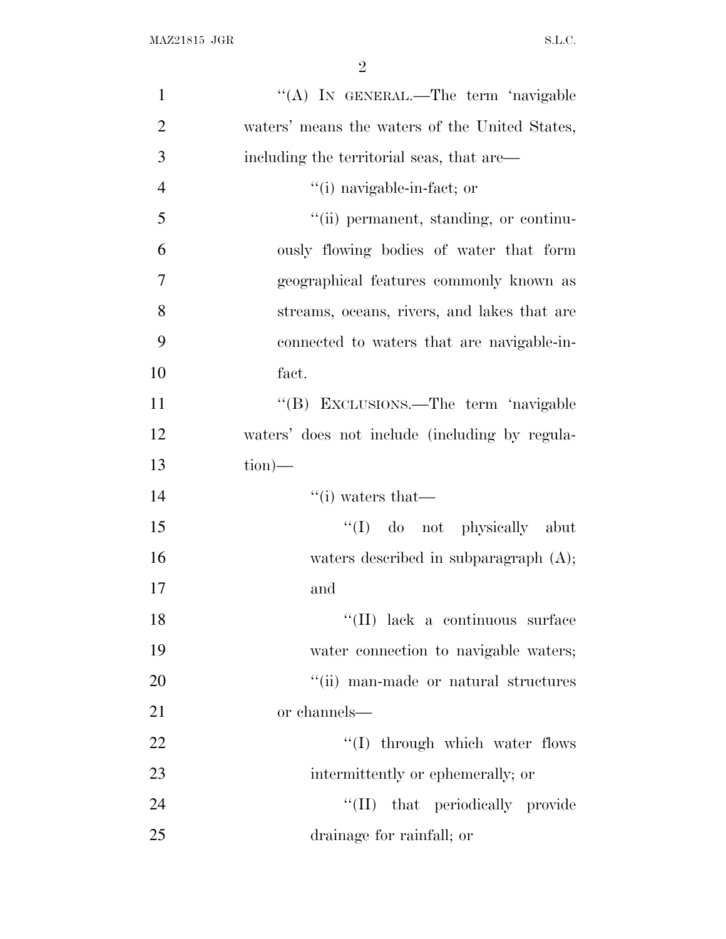| $\mathbf{1}$   | "(A) IN GENERAL.—The term 'navigable           |
|----------------|------------------------------------------------|
| $\overline{2}$ | waters' means the waters of the United States, |
| 3              | including the territorial seas, that are—      |
| $\overline{4}$ | "(i) navigable-in-fact; or                     |
| 5              | "(ii) permanent, standing, or continu-         |
| 6              | ously flowing bodies of water that form        |
| 7              | geographical features commonly known as        |
| 8              | streams, oceans, rivers, and lakes that are    |
| 9              | connected to waters that are navigable-in-     |
| 10             | fact.                                          |
| 11             | "(B) EXCLUSIONS.—The term 'navigable           |
| 12             | waters' does not include (including by regula- |
| 13             | $\text{tion}$ )—                               |
| 14             | $``(i)$ waters that—                           |
| 15             | "(I) do not physically abut                    |
| 16             | waters described in subparagraph $(A)$ ;       |
| 17             | and                                            |
| 18             | "(II) lack a continuous surface                |
| 19             | water connection to navigable waters;          |
| 20             | "(ii) man-made or natural structures           |
| 21             | or channels—                                   |
| 22             | "(I) through which water flows                 |
| 23             | intermittently or ephemerally; or              |
| 24             | "(II) that periodically provide                |
| 25             | drainage for rainfall; or                      |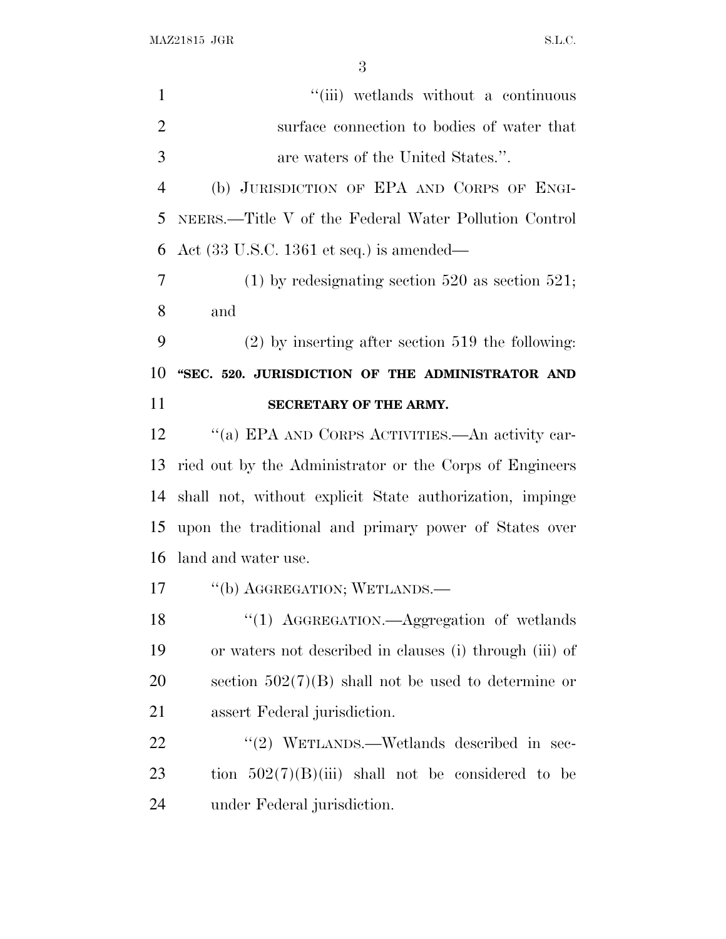MAZ21815 JGR S.L.C.

1 ''(iii) wetlands without a continuous surface connection to bodies of water that are waters of the United States.''. (b) JURISDICTION OF EPA AND CORPS OF ENGI- NEERS.—Title V of the Federal Water Pollution Control Act (33 U.S.C. 1361 et seq.) is amended— (1) by redesignating section 520 as section 521; and (2) by inserting after section 519 the following: **''SEC. 520. JURISDICTION OF THE ADMINISTRATOR AND SECRETARY OF THE ARMY.** 12 "(a) EPA AND CORPS ACTIVITIES.—An activity car- ried out by the Administrator or the Corps of Engineers shall not, without explicit State authorization, impinge upon the traditional and primary power of States over land and water use. 17 "(b) AGGREGATION; WETLANDS.— 18 "(1) AGGREGATION.—Aggregation of wetlands or waters not described in clauses (i) through (iii) of section 502(7)(B) shall not be used to determine or assert Federal jurisdiction. 22 "(2) WETLANDS.—Wetlands described in sec-23 tion  $502(7)(B)(iii)$  shall not be considered to be under Federal jurisdiction.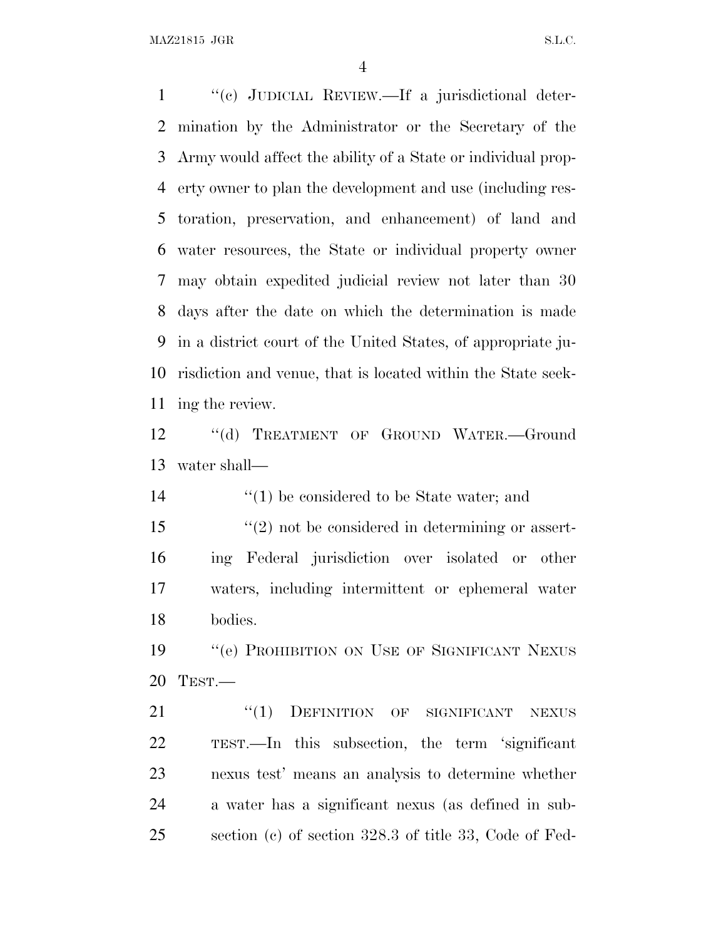MAZ21815 JGR S.L.C.

 ''(c) JUDICIAL REVIEW.—If a jurisdictional deter- mination by the Administrator or the Secretary of the Army would affect the ability of a State or individual prop- erty owner to plan the development and use (including res- toration, preservation, and enhancement) of land and water resources, the State or individual property owner may obtain expedited judicial review not later than 30 days after the date on which the determination is made in a district court of the United States, of appropriate ju- risdiction and venue, that is located within the State seek-ing the review.

12 "(d) TREATMENT OF GROUND WATER. Ground water shall—

14 ''(1) be considered to be State water; and

 ''(2) not be considered in determining or assert- ing Federal jurisdiction over isolated or other waters, including intermittent or ephemeral water bodies.

19 "'(e) PROHIBITION ON USE OF SIGNIFICANT NEXUS TEST.—

21 "(1) DEFINITION OF SIGNIFICANT NEXUS TEST.—In this subsection, the term 'significant nexus test' means an analysis to determine whether a water has a significant nexus (as defined in sub-section (c) of section 328.3 of title 33, Code of Fed-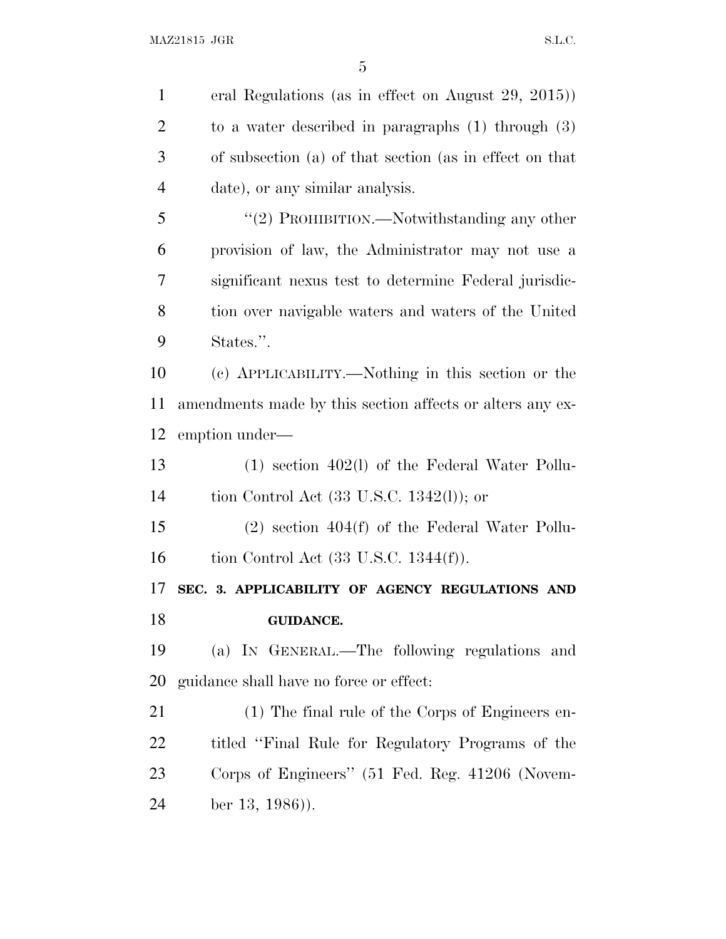eral Regulations (as in effect on August 29, 2015)) to a water described in paragraphs (1) through (3) of subsection (a) of that section (as in effect on that date), or any similar analysis. 5 "(2) PROHIBITION.—Notwithstanding any other provision of law, the Administrator may not use a significant nexus test to determine Federal jurisdic- tion over navigable waters and waters of the United States.''. (c) APPLICABILITY.—Nothing in this section or the amendments made by this section affects or alters any ex- emption under— (1) section 402(l) of the Federal Water Pollu- tion Control Act (33 U.S.C. 1342(l)); or (2) section 404(f) of the Federal Water Pollu-16 tion Control Act (33 U.S.C. 1344(f)). **SEC. 3. APPLICABILITY OF AGENCY REGULATIONS AND GUIDANCE.** (a) I<sup>N</sup> GENERAL.—The following regulations and guidance shall have no force or effect: (1) The final rule of the Corps of Engineers en- titled ''Final Rule for Regulatory Programs of the Corps of Engineers'' (51 Fed. Reg. 41206 (Novem-ber 13, 1986)).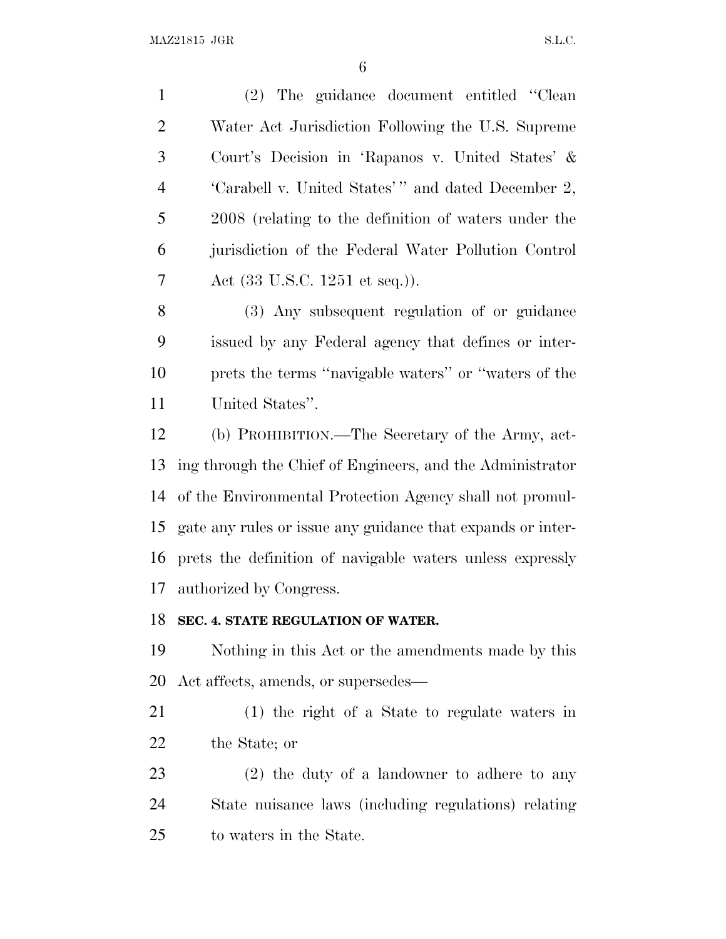(2) The guidance document entitled ''Clean Water Act Jurisdiction Following the U.S. Supreme Court's Decision in 'Rapanos v. United States' & 4 'Carabell v. United States'" and dated December 2, 2008 (relating to the definition of waters under the jurisdiction of the Federal Water Pollution Control Act (33 U.S.C. 1251 et seq.)). (3) Any subsequent regulation of or guidance issued by any Federal agency that defines or inter- prets the terms ''navigable waters'' or ''waters of the United States''. (b) PROHIBITION.—The Secretary of the Army, act- ing through the Chief of Engineers, and the Administrator of the Environmental Protection Agency shall not promul- gate any rules or issue any guidance that expands or inter- prets the definition of navigable waters unless expressly authorized by Congress. **SEC. 4. STATE REGULATION OF WATER.** Nothing in this Act or the amendments made by this Act affects, amends, or supersedes— (1) the right of a State to regulate waters in the State; or (2) the duty of a landowner to adhere to any State nuisance laws (including regulations) relating

to waters in the State.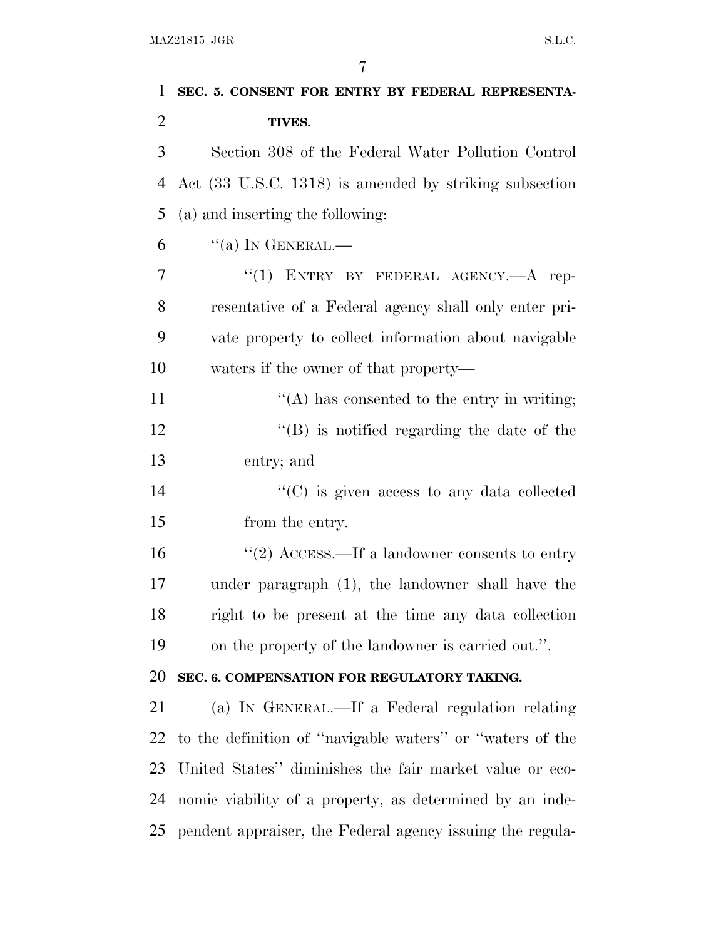| 1              | SEC. 5. CONSENT FOR ENTRY BY FEDERAL REPRESENTA-          |
|----------------|-----------------------------------------------------------|
| $\overline{2}$ | TIVES.                                                    |
| 3              | Section 308 of the Federal Water Pollution Control        |
| $\overline{4}$ | Act (33 U.S.C. 1318) is amended by striking subsection    |
| 5              | (a) and inserting the following:                          |
| 6              | $\lq\lq$ (a) In GENERAL.—                                 |
| 7              | "(1) ENTRY BY FEDERAL AGENCY.- A rep-                     |
| 8              | resentative of a Federal agency shall only enter pri-     |
| 9              | vate property to collect information about navigable      |
| 10             | waters if the owner of that property—                     |
| 11             | $\lq\lq$ has consented to the entry in writing;           |
| 12             | $\lq\lq (B)$ is notified regarding the date of the        |
| 13             | entry; and                                                |
| 14             | $\lq\lq$ (C) is given access to any data collected        |
| 15             | from the entry.                                           |
| 16             | "(2) ACCESS.—If a landowner consents to entry             |
| 17             | under paragraph (1), the landowner shall have the         |
| 18             | right to be present at the time any data collection       |
| 19             | on the property of the landowner is carried out.".        |
| 20             | SEC. 6. COMPENSATION FOR REGULATORY TAKING.               |
| 21             | (a) IN GENERAL.—If a Federal regulation relating          |
| 22             | to the definition of "navigable waters" or "waters of the |
| 23             | United States" diminishes the fair market value or eco-   |
| 24             | nomic viability of a property, as determined by an inde-  |
| 25             | pendent appraiser, the Federal agency issuing the regula- |